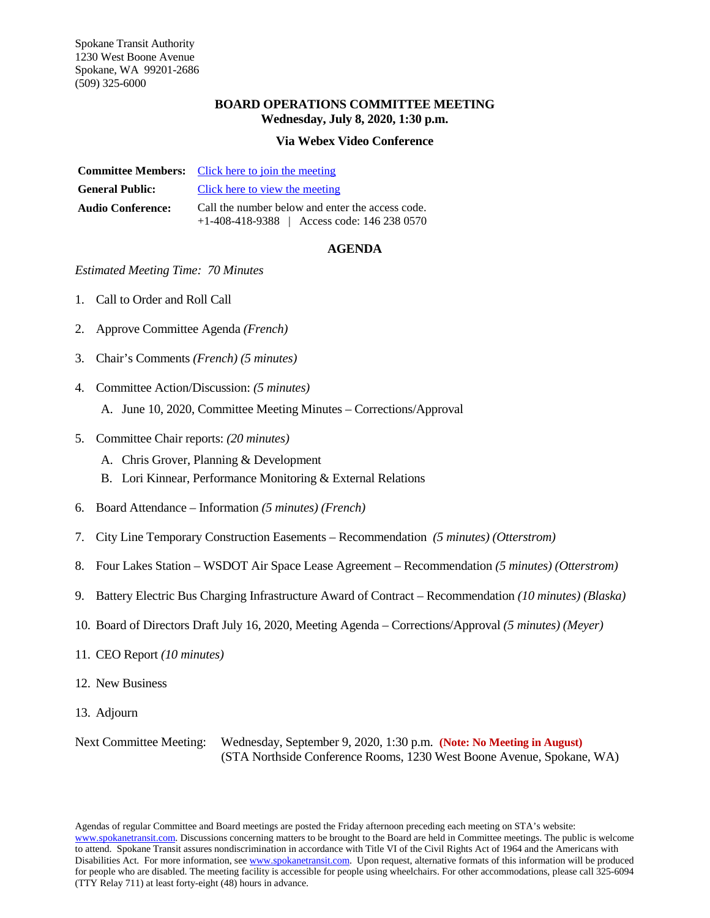#### **BOARD OPERATIONS COMMITTEE MEETING Wednesday, July 8, 2020, 1:30 p.m.**

#### **Via Webex Video Conference**

|                          | <b>Committee Members:</b> Click here to join the meeting                                          |  |  |
|--------------------------|---------------------------------------------------------------------------------------------------|--|--|
| <b>General Public:</b>   | Click here to view the meeting                                                                    |  |  |
| <b>Audio Conference:</b> | Call the number below and enter the access code.<br>$+1-408-418-9388$   Access code: 146 238 0570 |  |  |

#### **AGENDA**

#### *Estimated Meeting Time: 70 Minutes*

- 1. Call to Order and Roll Call
- 2. Approve Committee Agenda *(French)*
- 3. Chair's Comments *(French) (5 minutes)*
- 4. Committee Action/Discussion: *(5 minutes)*
	- A. June 10, 2020, Committee Meeting Minutes Corrections/Approval
- 5. Committee Chair reports: *(20 minutes)*
	- A. Chris Grover, Planning & Development
	- B. Lori Kinnear, Performance Monitoring & External Relations
- 6. Board Attendance Information *(5 minutes) (French)*
- 7. City Line Temporary Construction Easements Recommendation *(5 minutes) (Otterstrom)*
- 8. Four Lakes Station WSDOT Air Space Lease Agreement Recommendation *(5 minutes) (Otterstrom)*
- 9. Battery Electric Bus Charging Infrastructure Award of Contract Recommendation *(10 minutes) (Blaska)*
- 10. Board of Directors Draft July 16, 2020, Meeting Agenda Corrections/Approval *(5 minutes) (Meyer)*
- 11. CEO Report *(10 minutes)*
- 12. New Business
- 13. Adjourn

Next Committee Meeting: Wednesday, September 9, 2020, 1:30 p.m. **(Note: No Meeting in August)** (STA Northside Conference Rooms, 1230 West Boone Avenue, Spokane, WA)

Agendas of regular Committee and Board meetings are posted the Friday afternoon preceding each meeting on STA's website: [www.spokanetransit.com.](http://www.spokanetransit.com/) Discussions concerning matters to be brought to the Board are held in Committee meetings. The public is welcome to attend. Spokane Transit assures nondiscrimination in accordance with Title VI of the Civil Rights Act of 1964 and the Americans with Disabilities Act. For more information, se[e www.spokanetransit.com.](http://www.spokanetransit.com/) Upon request, alternative formats of this information will be produced for people who are disabled. The meeting facility is accessible for people using wheelchairs. For other accommodations, please call 325-6094 (TTY Relay 711) at least forty-eight (48) hours in advance.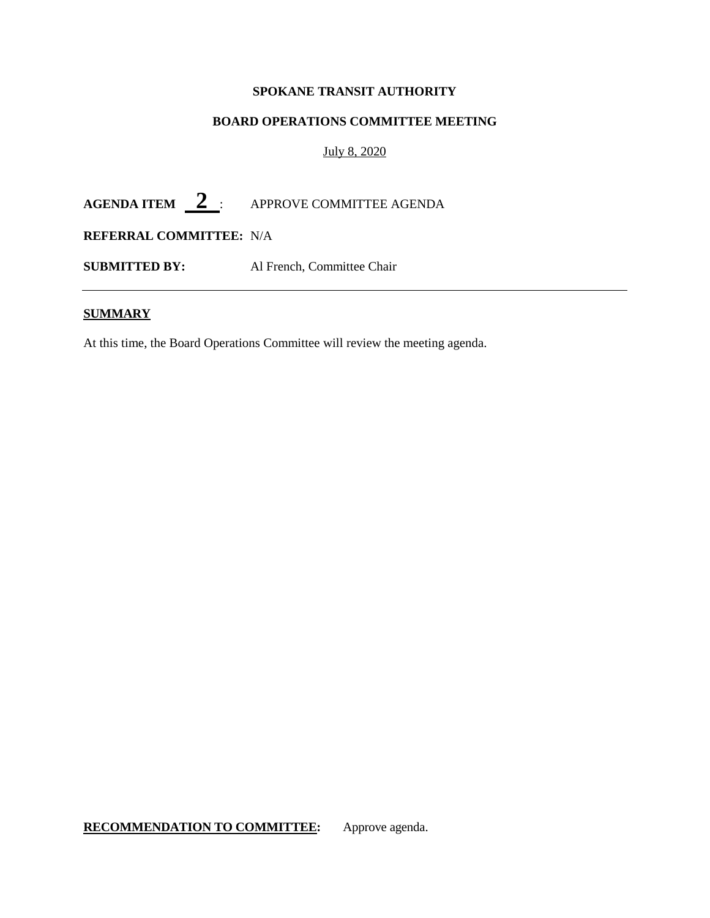#### **BOARD OPERATIONS COMMITTEE MEETING**

#### July 8, 2020

AGENDA ITEM  $2$  : APPROVE COMMITTEE AGENDA

**REFERRAL COMMITTEE:** N/A

**SUBMITTED BY:** Al French, Committee Chair

#### **SUMMARY**

At this time, the Board Operations Committee will review the meeting agenda.

**RECOMMENDATION TO COMMITTEE:** Approve agenda.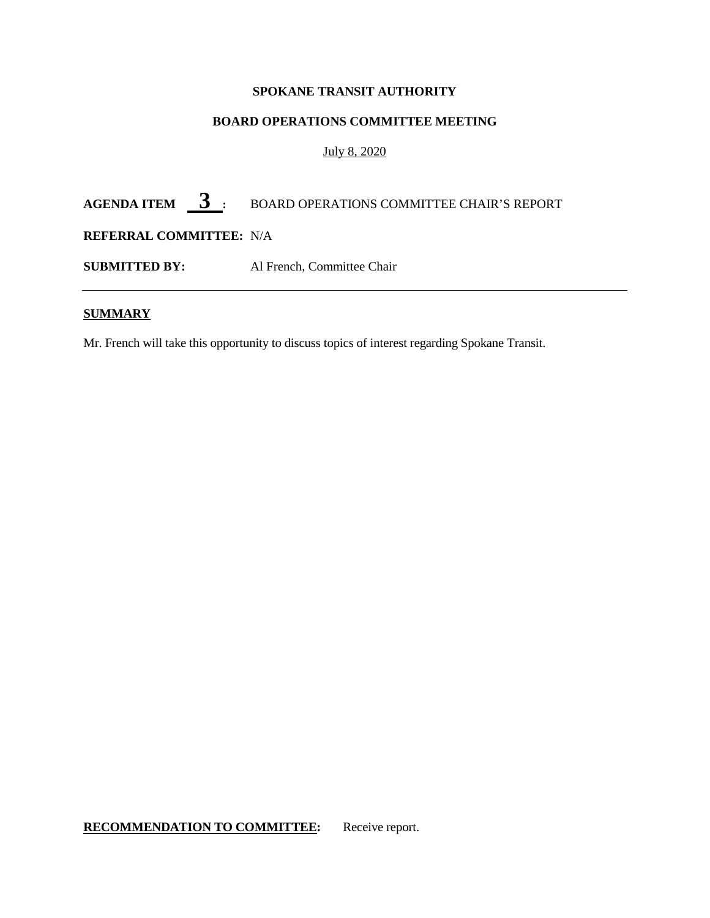#### **BOARD OPERATIONS COMMITTEE MEETING**

#### July 8, 2020

AGENDA ITEM  $\frac{3}{100}$  **:** BOARD OPERATIONS COMMITTEE CHAIR'S REPORT **REFERRAL COMMITTEE:** N/A

**SUBMITTED BY:** Al French, Committee Chair

#### **SUMMARY**

Mr. French will take this opportunity to discuss topics of interest regarding Spokane Transit.

#### **RECOMMENDATION TO COMMITTEE:** Receive report.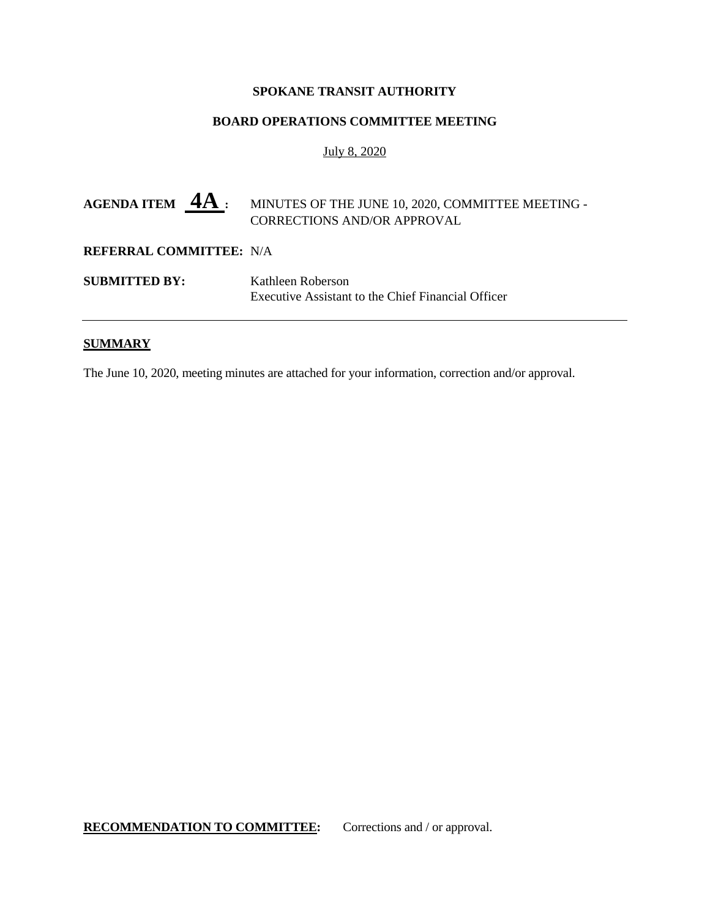#### **BOARD OPERATIONS COMMITTEE MEETING**

#### July 8, 2020

|  | <b>AGENDA ITEM <math>4A</math></b> : MINUTES OF THE JUNE 10, 2020, COMMITTEE MEETING - |
|--|----------------------------------------------------------------------------------------|
|  | <b>CORRECTIONS AND/OR APPROVAL</b>                                                     |
|  |                                                                                        |

## **REFERRAL COMMITTEE:** N/A

**SUBMITTED BY:** Kathleen Roberson Executive Assistant to the Chief Financial Officer

#### **SUMMARY**

The June 10, 2020, meeting minutes are attached for your information, correction and/or approval.

RECOMMENDATION TO COMMITTEE: Corrections and / or approval.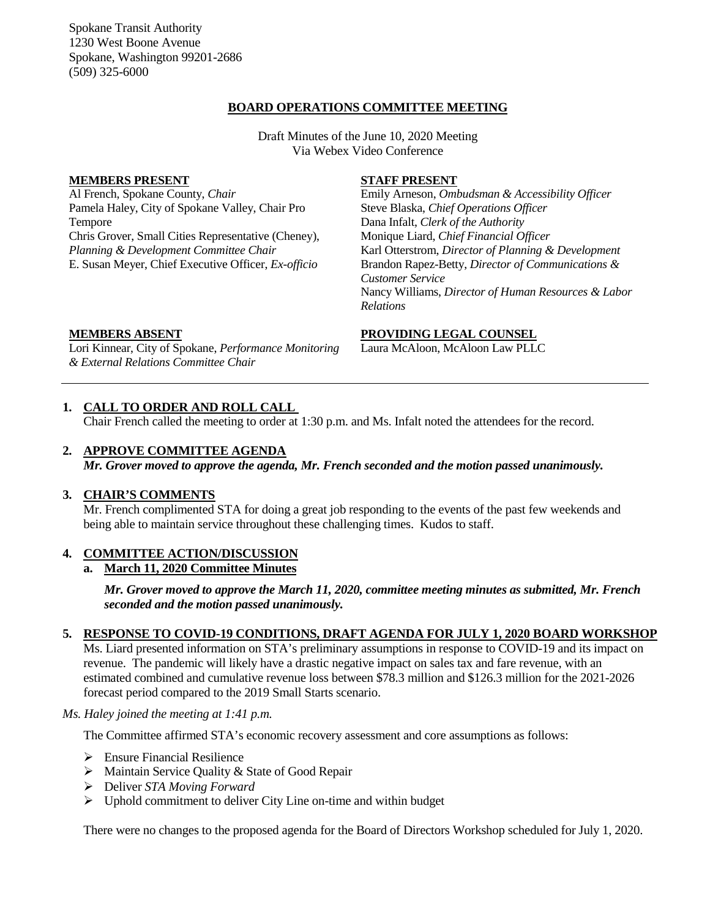Spokane Transit Authority 1230 West Boone Avenue Spokane, Washington 99201-2686 (509) 325-6000

#### **BOARD OPERATIONS COMMITTEE MEETING**

Draft Minutes of the June 10, 2020 Meeting Via Webex Video Conference

#### **MEMBERS PRESENT**

Al French, Spokane County, *Chair* Pamela Haley, City of Spokane Valley, Chair Pro Tempore Chris Grover, Small Cities Representative (Cheney), *Planning & Development Committee Chair* E. Susan Meyer, Chief Executive Officer, *Ex-officio*

#### **STAFF PRESENT**

Emily Arneson, *Ombudsman & Accessibility Officer* Steve Blaska, *Chief Operations Officer* Dana Infalt, *Clerk of the Authority* Monique Liard, *Chief Financial Officer* Karl Otterstrom, *Director of Planning & Development* Brandon Rapez-Betty, *Director of Communications & Customer Service* Nancy Williams, *Director of Human Resources & Labor Relations*

#### **MEMBERS ABSENT**

Lori Kinnear, City of Spokane, *Performance Monitoring & External Relations Committee Chair*

#### **PROVIDING LEGAL COUNSEL**

Laura McAloon, McAloon Law PLLC

#### **1. CALL TO ORDER AND ROLL CALL**

Chair French called the meeting to order at 1:30 p.m. and Ms. Infalt noted the attendees for the record.

#### **2. APPROVE COMMITTEE AGENDA**

*Mr. Grover moved to approve the agenda, Mr. French seconded and the motion passed unanimously.*

#### **3. CHAIR'S COMMENTS**

Mr. French complimented STA for doing a great job responding to the events of the past few weekends and being able to maintain service throughout these challenging times. Kudos to staff.

#### **4. COMMITTEE ACTION/DISCUSSION**

#### **a. March 11, 2020 Committee Minutes**

*Mr. Grover moved to approve the March 11, 2020, committee meeting minutes as submitted, Mr. French seconded and the motion passed unanimously.*

#### **5. RESPONSE TO COVID-19 CONDITIONS, DRAFT AGENDA FOR JULY 1, 2020 BOARD WORKSHOP**

Ms. Liard presented information on STA's preliminary assumptions in response to COVID-19 and its impact on revenue. The pandemic will likely have a drastic negative impact on sales tax and fare revenue, with an estimated combined and cumulative revenue loss between \$78.3 million and \$126.3 million for the 2021-2026 forecast period compared to the 2019 Small Starts scenario.

#### *Ms. Haley joined the meeting at 1:41 p.m.*

The Committee affirmed STA's economic recovery assessment and core assumptions as follows:

- Ensure Financial Resilience
- $\triangleright$  Maintain Service Quality & State of Good Repair
- Deliver *STA Moving Forward*
- $\triangleright$  Uphold commitment to deliver City Line on-time and within budget

There were no changes to the proposed agenda for the Board of Directors Workshop scheduled for July 1, 2020.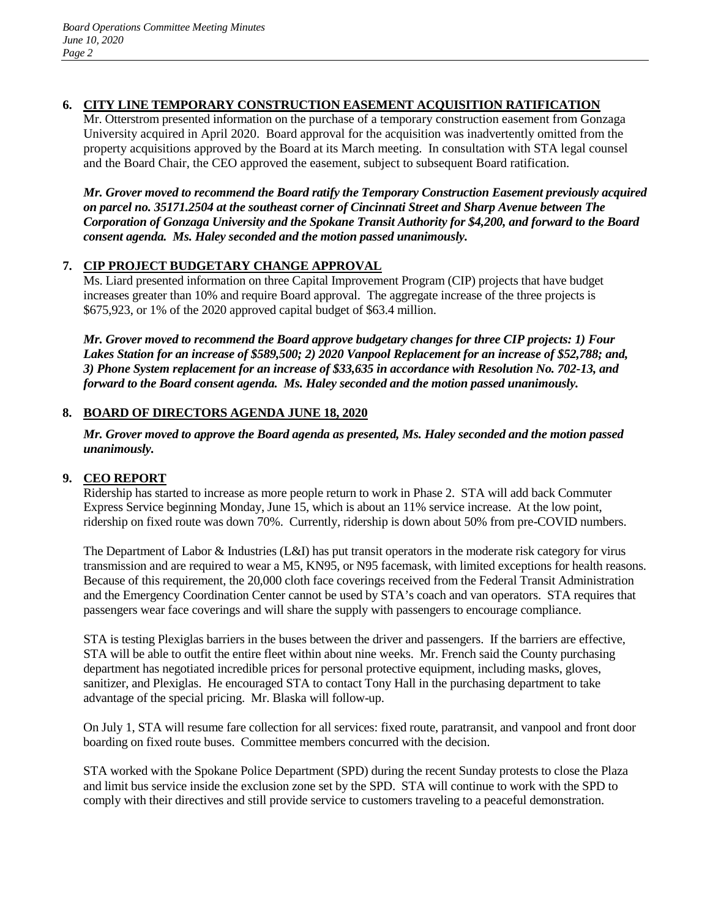### **6. CITY LINE TEMPORARY CONSTRUCTION EASEMENT ACQUISITION RATIFICATION**

Mr. Otterstrom presented information on the purchase of a temporary construction easement from Gonzaga University acquired in April 2020. Board approval for the acquisition was inadvertently omitted from the property acquisitions approved by the Board at its March meeting. In consultation with STA legal counsel and the Board Chair, the CEO approved the easement, subject to subsequent Board ratification.

*Mr. Grover moved to recommend the Board ratify the Temporary Construction Easement previously acquired on parcel no. 35171.2504 at the southeast corner of Cincinnati Street and Sharp Avenue between The Corporation of Gonzaga University and the Spokane Transit Authority for \$4,200, and forward to the Board consent agenda. Ms. Haley seconded and the motion passed unanimously.*

## **7. CIP PROJECT BUDGETARY CHANGE APPROVAL**

Ms. Liard presented information on three Capital Improvement Program (CIP) projects that have budget increases greater than 10% and require Board approval. The aggregate increase of the three projects is \$675,923, or 1% of the 2020 approved capital budget of \$63.4 million.

*Mr. Grover moved to recommend the Board approve budgetary changes for three CIP projects: 1) Four Lakes Station for an increase of \$589,500; 2) 2020 Vanpool Replacement for an increase of \$52,788; and, 3) Phone System replacement for an increase of \$33,635 in accordance with Resolution No. 702-13, and forward to the Board consent agenda. Ms. Haley seconded and the motion passed unanimously.*

## **8. BOARD OF DIRECTORS AGENDA JUNE 18, 2020**

*Mr. Grover moved to approve the Board agenda as presented, Ms. Haley seconded and the motion passed unanimously.*

## **9. CEO REPORT**

Ridership has started to increase as more people return to work in Phase 2. STA will add back Commuter Express Service beginning Monday, June 15, which is about an 11% service increase. At the low point, ridership on fixed route was down 70%. Currently, ridership is down about 50% from pre-COVID numbers.

The Department of Labor & Industries (L&I) has put transit operators in the moderate risk category for virus transmission and are required to wear a M5, KN95, or N95 facemask, with limited exceptions for health reasons. Because of this requirement, the 20,000 cloth face coverings received from the Federal Transit Administration and the Emergency Coordination Center cannot be used by STA's coach and van operators. STA requires that passengers wear face coverings and will share the supply with passengers to encourage compliance.

STA is testing Plexiglas barriers in the buses between the driver and passengers. If the barriers are effective, STA will be able to outfit the entire fleet within about nine weeks. Mr. French said the County purchasing department has negotiated incredible prices for personal protective equipment, including masks, gloves, sanitizer, and Plexiglas. He encouraged STA to contact Tony Hall in the purchasing department to take advantage of the special pricing. Mr. Blaska will follow-up.

On July 1, STA will resume fare collection for all services: fixed route, paratransit, and vanpool and front door boarding on fixed route buses. Committee members concurred with the decision.

STA worked with the Spokane Police Department (SPD) during the recent Sunday protests to close the Plaza and limit bus service inside the exclusion zone set by the SPD. STA will continue to work with the SPD to comply with their directives and still provide service to customers traveling to a peaceful demonstration.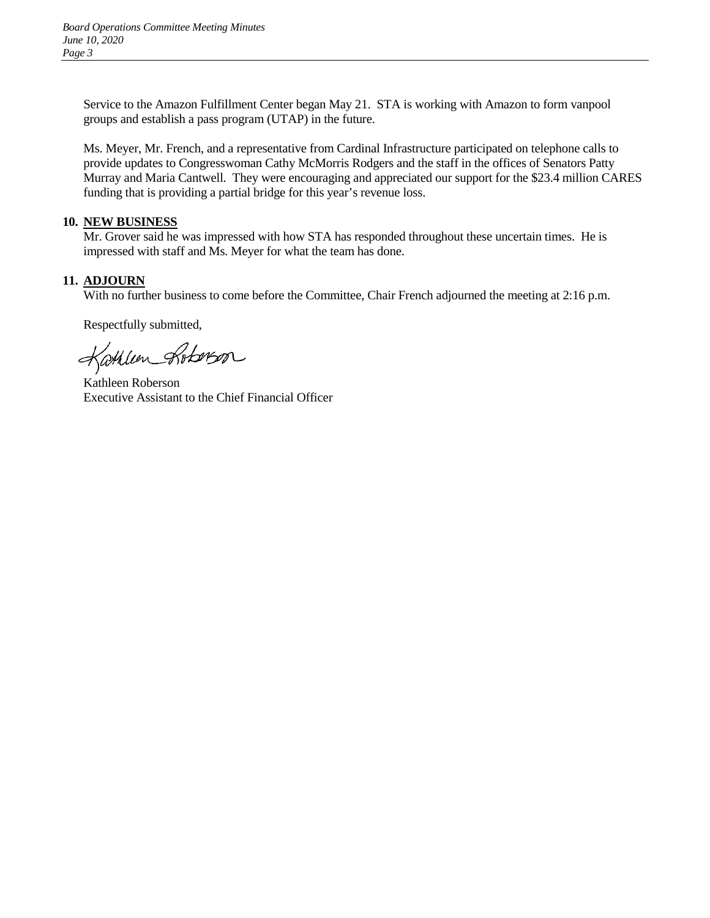Service to the Amazon Fulfillment Center began May 21. STA is working with Amazon to form vanpool groups and establish a pass program (UTAP) in the future.

Ms. Meyer, Mr. French, and a representative from Cardinal Infrastructure participated on telephone calls to provide updates to Congresswoman Cathy McMorris Rodgers and the staff in the offices of Senators Patty Murray and Maria Cantwell. They were encouraging and appreciated our support for the \$23.4 million CARES funding that is providing a partial bridge for this year's revenue loss.

#### **10. NEW BUSINESS**

Mr. Grover said he was impressed with how STA has responded throughout these uncertain times. He is impressed with staff and Ms. Meyer for what the team has done.

#### **11. ADJOURN**

With no further business to come before the Committee, Chair French adjourned the meeting at 2:16 p.m.

Respectfully submitted,

Cottlen Roberson K

Kathleen Roberson Executive Assistant to the Chief Financial Officer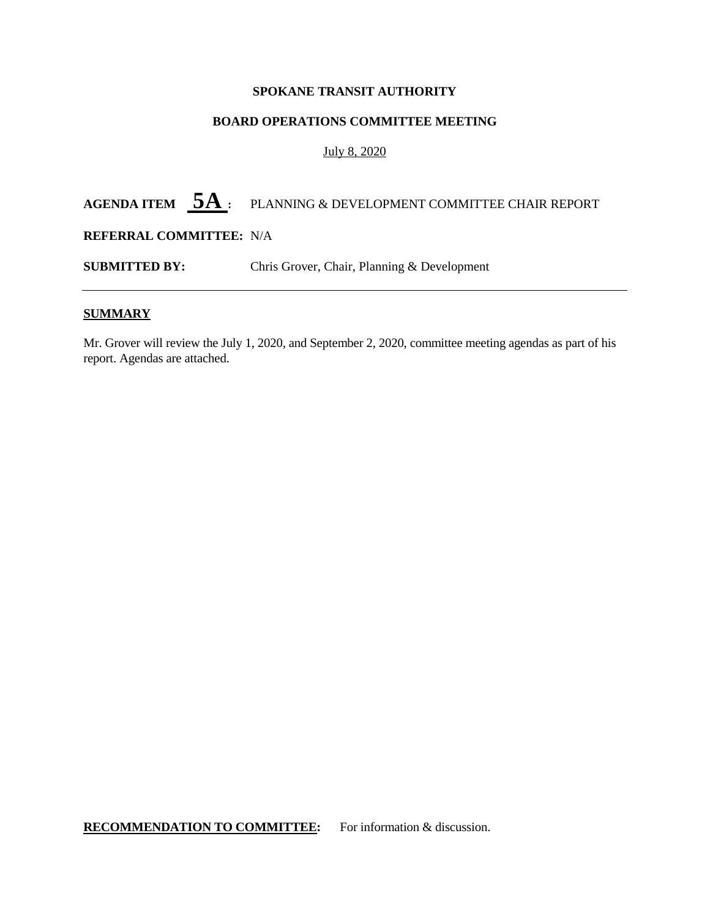#### **BOARD OPERATIONS COMMITTEE MEETING**

#### July 8, 2020

# AGENDA ITEM  $5A$  **:** PLANNING & DEVELOPMENT COMMITTEE CHAIR REPORT

#### **REFERRAL COMMITTEE:** N/A

**SUBMITTED BY:** Chris Grover, Chair, Planning & Development

#### **SUMMARY**

Mr. Grover will review the July 1, 2020, and September 2, 2020, committee meeting agendas as part of his report. Agendas are attached.

#### **RECOMMENDATION TO COMMITTEE:** For information & discussion.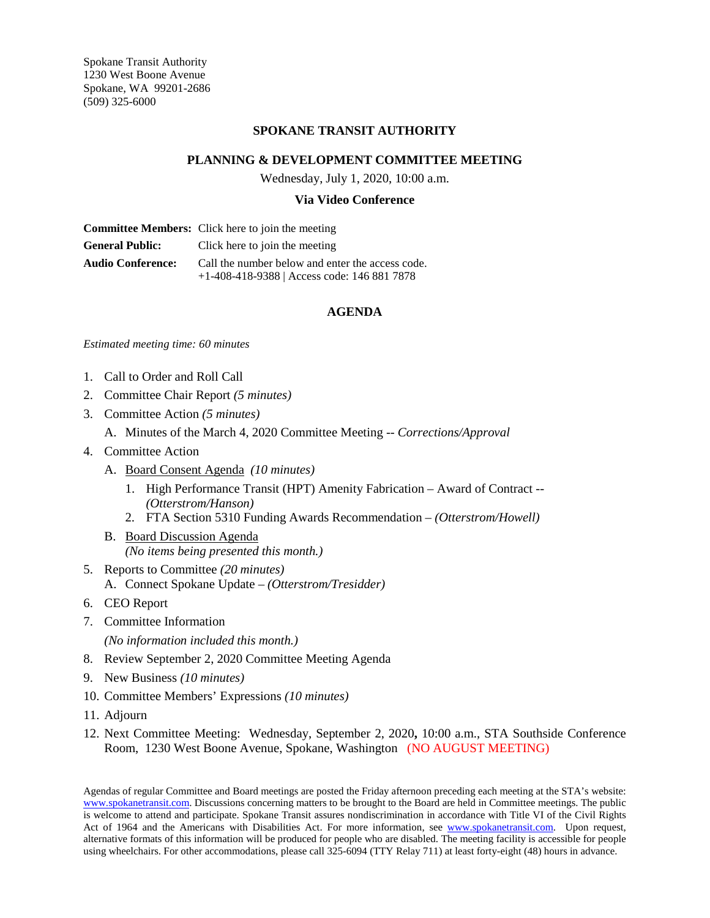Spokane Transit Authority 1230 West Boone Avenue Spokane, WA 99201-2686 (509) 325-6000

#### **SPOKANE TRANSIT AUTHORITY**

#### **PLANNING & DEVELOPMENT COMMITTEE MEETING**

Wednesday, July 1, 2020, 10:00 a.m.

#### **Via Video Conference**

|                          | <b>Committee Members:</b> Click here to join the meeting                                          |  |  |
|--------------------------|---------------------------------------------------------------------------------------------------|--|--|
| <b>General Public:</b>   | Click here to join the meeting                                                                    |  |  |
| <b>Audio Conference:</b> | Call the number below and enter the access code.<br>$+1-408-418-9388$   Access code: 146 881 7878 |  |  |

#### **AGENDA**

*Estimated meeting time: 60 minutes* 

- 1. Call to Order and Roll Call
- 2. Committee Chair Report *(5 minutes)*
- 3. Committee Action *(5 minutes)*
	- A. Minutes of the March 4, 2020 Committee Meeting -- *Corrections/Approval*
- 4. Committee Action
	- A. Board Consent Agenda *(10 minutes)*
		- 1. High Performance Transit (HPT) Amenity Fabrication Award of Contract *-- (Otterstrom/Hanson)*
		- 2. FTA Section 5310 Funding Awards Recommendation *– (Otterstrom/Howell)*
	- B. Board Discussion Agenda *(No items being presented this month.)*
- 5. Reports to Committee *(20 minutes)* A. Connect Spokane Update *– (Otterstrom/Tresidder)*
- 6. CEO Report
- 7. Committee Information

*(No information included this month.)*

- 8. Review September 2, 2020 Committee Meeting Agenda
- 9. New Business *(10 minutes)*
- 10. Committee Members' Expressions *(10 minutes)*
- 11. Adjourn
- 12. Next Committee Meeting: Wednesday, September 2, 2020**,** 10:00 a.m., STA Southside Conference Room, 1230 West Boone Avenue, Spokane, Washington (NO AUGUST MEETING)

Agendas of regular Committee and Board meetings are posted the Friday afternoon preceding each meeting at the STA's website: [www.spokanetransit.com.](http://www.spokanetransit.com/) Discussions concerning matters to be brought to the Board are held in Committee meetings. The public is welcome to attend and participate. Spokane Transit assures nondiscrimination in accordance with Title VI of the Civil Rights Act of 1964 and the Americans with Disabilities Act. For more information, see [www.spokanetransit.com.](http://www.spokanetransit.com/) Upon request, alternative formats of this information will be produced for people who are disabled. The meeting facility is accessible for people using wheelchairs. For other accommodations, please call 325-6094 (TTY Relay 711) at least forty-eight (48) hours in advance.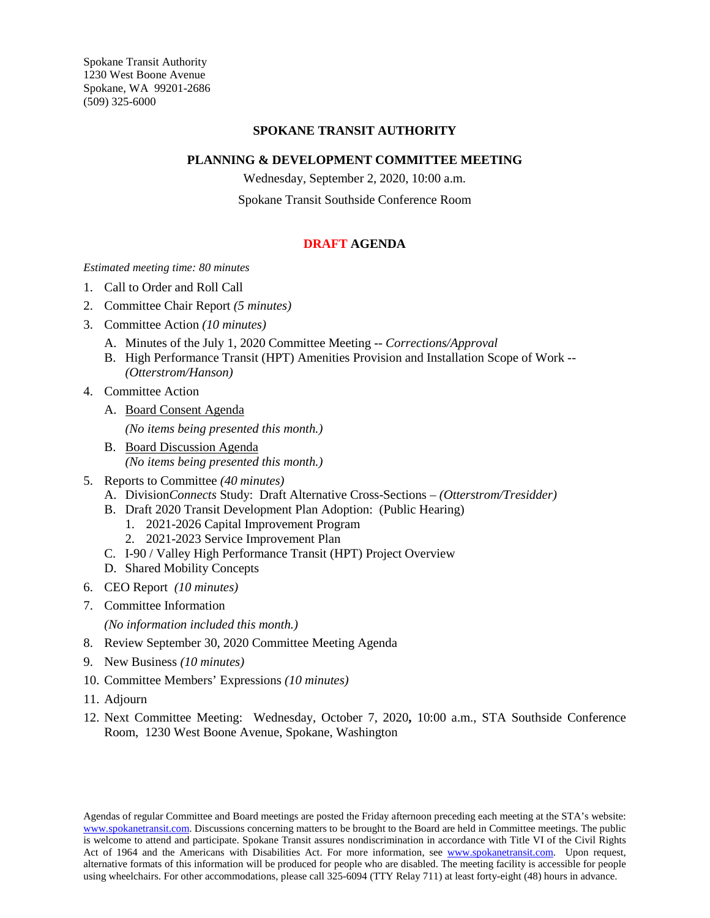Spokane Transit Authority 1230 West Boone Avenue Spokane, WA 99201-2686 (509) 325-6000

#### **SPOKANE TRANSIT AUTHORITY**

#### **PLANNING & DEVELOPMENT COMMITTEE MEETING**

Wednesday, September 2, 2020, 10:00 a.m.

Spokane Transit Southside Conference Room

#### **DRAFT AGENDA**

*Estimated meeting time: 80 minutes* 

- 1. Call to Order and Roll Call
- 2. Committee Chair Report *(5 minutes)*
- 3. Committee Action *(10 minutes)*
	- A. Minutes of the July 1, 2020 Committee Meeting -- *Corrections/Approval*
	- B. High Performance Transit (HPT) Amenities Provision and Installation Scope of Work *-- (Otterstrom/Hanson)*
- 4. Committee Action
	- A. Board Consent Agenda

*(No items being presented this month.)*

- B. Board Discussion Agenda *(No items being presented this month.)*
- 5. Reports to Committee *(40 minutes)*
	- A. Division*Connects* Study: Draft Alternative Cross-Sections *– (Otterstrom/Tresidder)*
	- B. Draft 2020 Transit Development Plan Adoption: (Public Hearing)
		- 1. 2021-2026 Capital Improvement Program
		- 2. 2021-2023 Service Improvement Plan
	- C. I-90 / Valley High Performance Transit (HPT) Project Overview
	- D. Shared Mobility Concepts
- 6. CEO Report *(10 minutes)*
- 7. Committee Information

*(No information included this month.)*

- 8. Review September 30, 2020 Committee Meeting Agenda
- 9. New Business *(10 minutes)*
- 10. Committee Members' Expressions *(10 minutes)*
- 11. Adjourn
- 12. Next Committee Meeting: Wednesday, October 7, 2020**,** 10:00 a.m., STA Southside Conference Room, 1230 West Boone Avenue, Spokane, Washington

Agendas of regular Committee and Board meetings are posted the Friday afternoon preceding each meeting at the STA's website: [www.spokanetransit.com.](http://www.spokanetransit.com/) Discussions concerning matters to be brought to the Board are held in Committee meetings. The public is welcome to attend and participate. Spokane Transit assures nondiscrimination in accordance with Title VI of the Civil Rights Act of 1964 and the Americans with Disabilities Act. For more information, see [www.spokanetransit.com.](http://www.spokanetransit.com/) Upon request, alternative formats of this information will be produced for people who are disabled. The meeting facility is accessible for people using wheelchairs. For other accommodations, please call 325-6094 (TTY Relay 711) at least forty-eight (48) hours in advance.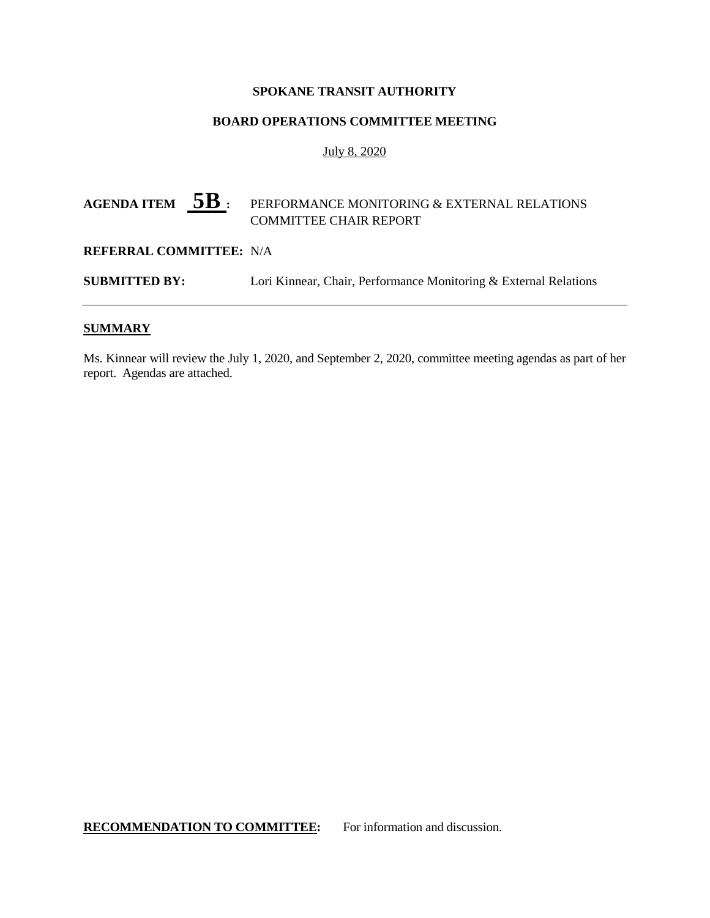#### **BOARD OPERATIONS COMMITTEE MEETING**

#### July 8, 2020

# AGENDA ITEM  $5B$  **:** PERFORMANCE MONITORING & EXTERNAL RELATIONS COMMITTEE CHAIR REPORT

#### **REFERRAL COMMITTEE:** N/A

**SUBMITTED BY:** Lori Kinnear, Chair, Performance Monitoring & External Relations

#### **SUMMARY**

Ms. Kinnear will review the July 1, 2020, and September 2, 2020, committee meeting agendas as part of her report. Agendas are attached.

**RECOMMENDATION TO COMMITTEE:** For information and discussion.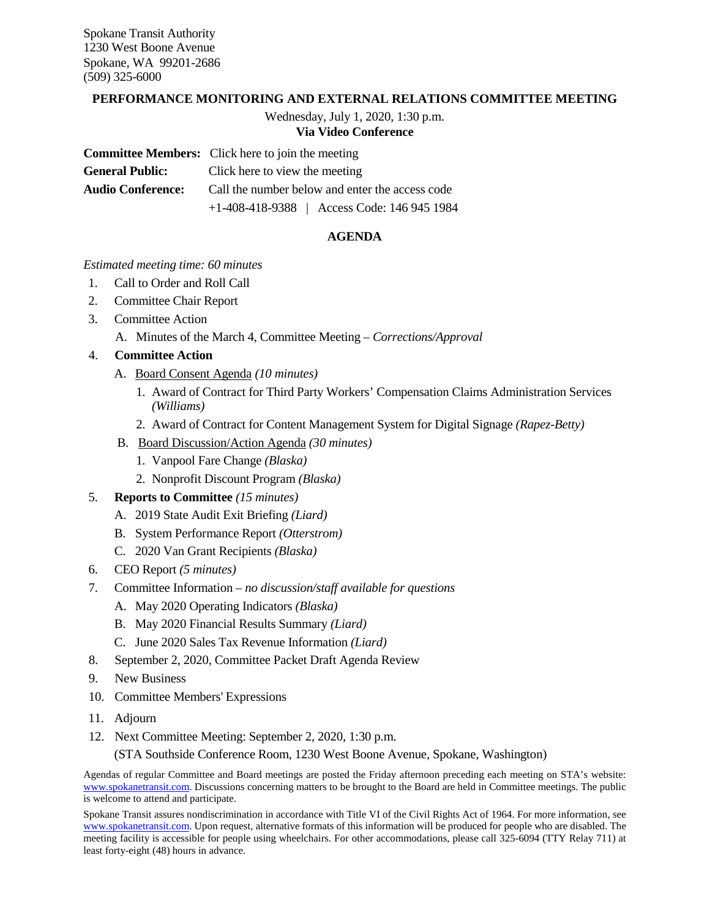Spokane Transit Authority 1230 West Boone Avenue Spokane, WA 99201-2686 (509) 325-6000

#### **PERFORMANCE MONITORING AND EXTERNAL RELATIONS COMMITTEE MEETING**

## Wednesday, July 1, 2020, 1:30 p.m.

#### **Via Video Conference**

|                          | <b>Committee Members:</b> Click here to join the meeting |  |  |
|--------------------------|----------------------------------------------------------|--|--|
| <b>General Public:</b>   | Click here to view the meeting                           |  |  |
| <b>Audio Conference:</b> | Call the number below and enter the access code          |  |  |
|                          | $+1-408-418-9388$   Access Code: 146 945 1984            |  |  |

#### **AGENDA**

#### *Estimated meeting time: 60 minutes*

- 1. Call to Order and Roll Call
- 2. Committee Chair Report
- 3. Committee Action
	- A. Minutes of the March 4, Committee Meeting *Corrections/Approval*

#### 4. **Committee Action**

- A. Board Consent Agenda *(10 minutes)*
	- 1. Award of Contract for Third Party Workers' Compensation Claims Administration Services *(Williams)*
	- 2. Award of Contract for Content Management System for Digital Signage *(Rapez-Betty)*
- B. Board Discussion/Action Agenda *(30 minutes)*
	- 1. Vanpool Fare Change *(Blaska)*
	- 2. Nonprofit Discount Program *(Blaska)*
- 5. **Reports to Committee** *(15 minutes)*
	- A. 2019 State Audit Exit Briefing *(Liard)*
	- B. System Performance Report *(Otterstrom)*
	- C. 2020 Van Grant Recipients *(Blaska)*
- 6. CEO Report *(5 minutes)*
- 7. Committee Information *no discussion/staff available for questions*
	- A. May 2020 Operating Indicators *(Blaska)*
	- B. May 2020 Financial Results Summary *(Liard)*
	- C. June 2020 Sales Tax Revenue Information *(Liard)*
- 8. September 2, 2020, Committee Packet Draft Agenda Review
- 9. New Business
- 10. Committee Members' Expressions
- 11. Adjourn
- 12. Next Committee Meeting: September 2, 2020, 1:30 p.m.

(STA Southside Conference Room, 1230 West Boone Avenue, Spokane, Washington)

Agendas of regular Committee and Board meetings are posted the Friday afternoon preceding each meeting on STA's website: [www.spokanetransit.com.](http://www.spokanetransit.com/) Discussions concerning matters to be brought to the Board are held in Committee meetings. The public is welcome to attend and participate.

Spokane Transit assures nondiscrimination in accordance with Title VI of the Civil Rights Act of 1964. For more information, see [www.spokanetransit.com.](http://www.spokanetransit.com/) Upon request, alternative formats of this information will be produced for people who are disabled. The meeting facility is accessible for people using wheelchairs. For other accommodations, please call 325-6094 (TTY Relay 711) at least forty-eight (48) hours in advance.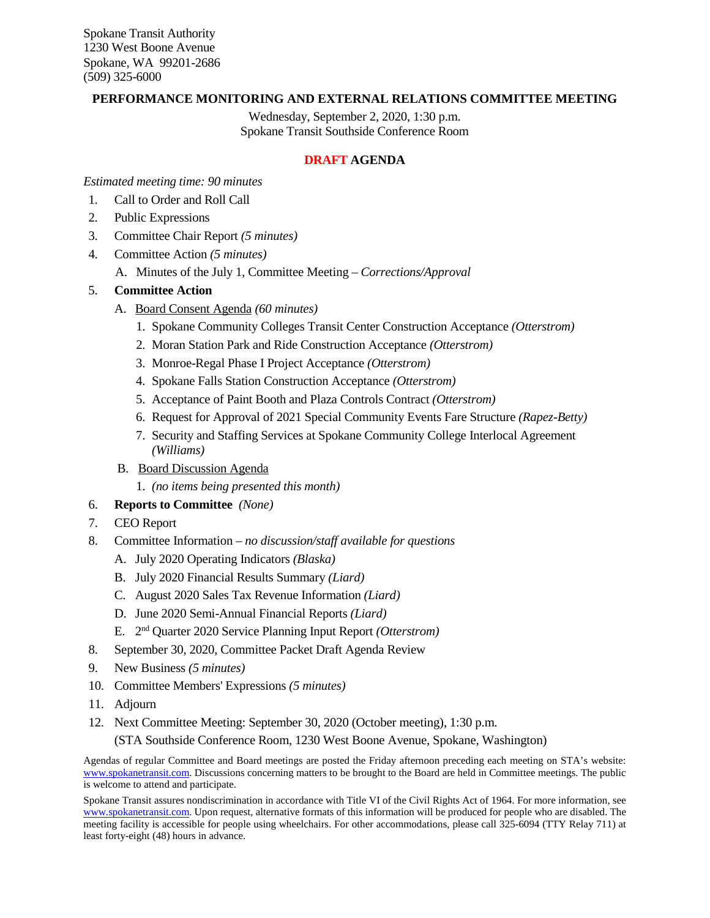#### **PERFORMANCE MONITORING AND EXTERNAL RELATIONS COMMITTEE MEETING**

Wednesday, September 2, 2020, 1:30 p.m. Spokane Transit Southside Conference Room

#### **DRAFT AGENDA**

#### *Estimated meeting time: 90 minutes*

- 1. Call to Order and Roll Call
- 2. Public Expressions
- 3. Committee Chair Report *(5 minutes)*
- 4. Committee Action *(5 minutes)*
	- A. Minutes of the July 1, Committee Meeting *Corrections/Approval*

#### 5. **Committee Action**

- A. Board Consent Agenda *(60 minutes)*
	- 1. Spokane Community Colleges Transit Center Construction Acceptance *(Otterstrom)*
	- 2. Moran Station Park and Ride Construction Acceptance *(Otterstrom)*
	- 3. Monroe-Regal Phase I Project Acceptance *(Otterstrom)*
	- 4. Spokane Falls Station Construction Acceptance *(Otterstrom)*
	- 5. Acceptance of Paint Booth and Plaza Controls Contract *(Otterstrom)*
	- 6. Request for Approval of 2021 Special Community Events Fare Structure *(Rapez-Betty)*
	- 7. Security and Staffing Services at Spokane Community College Interlocal Agreement *(Williams)*
- B. Board Discussion Agenda
	- 1. *(no items being presented this month)*
- 6. **Reports to Committee** *(None)*
- 7. CEO Report
- 8. Committee Information *no discussion/staff available for questions*
	- A. July 2020 Operating Indicators *(Blaska)*
	- B. July 2020 Financial Results Summary *(Liard)*
	- C. August 2020 Sales Tax Revenue Information *(Liard)*
	- D. June 2020 Semi-Annual Financial Reports *(Liard)*
	- E. 2nd Quarter 2020 Service Planning Input Report *(Otterstrom)*
- 8. September 30, 2020, Committee Packet Draft Agenda Review
- 9. New Business *(5 minutes)*
- 10. Committee Members' Expressions *(5 minutes)*
- 11. Adjourn
- 12. Next Committee Meeting: September 30, 2020 (October meeting), 1:30 p.m.

(STA Southside Conference Room, 1230 West Boone Avenue, Spokane, Washington)

Agendas of regular Committee and Board meetings are posted the Friday afternoon preceding each meeting on STA's website: [www.spokanetransit.com.](http://www.spokanetransit.com/) Discussions concerning matters to be brought to the Board are held in Committee meetings. The public is welcome to attend and participate.

Spokane Transit assures nondiscrimination in accordance with Title VI of the Civil Rights Act of 1964. For more information, see [www.spokanetransit.com.](http://www.spokanetransit.com/) Upon request, alternative formats of this information will be produced for people who are disabled. The meeting facility is accessible for people using wheelchairs. For other accommodations, please call 325-6094 (TTY Relay 711) at least forty-eight (48) hours in advance.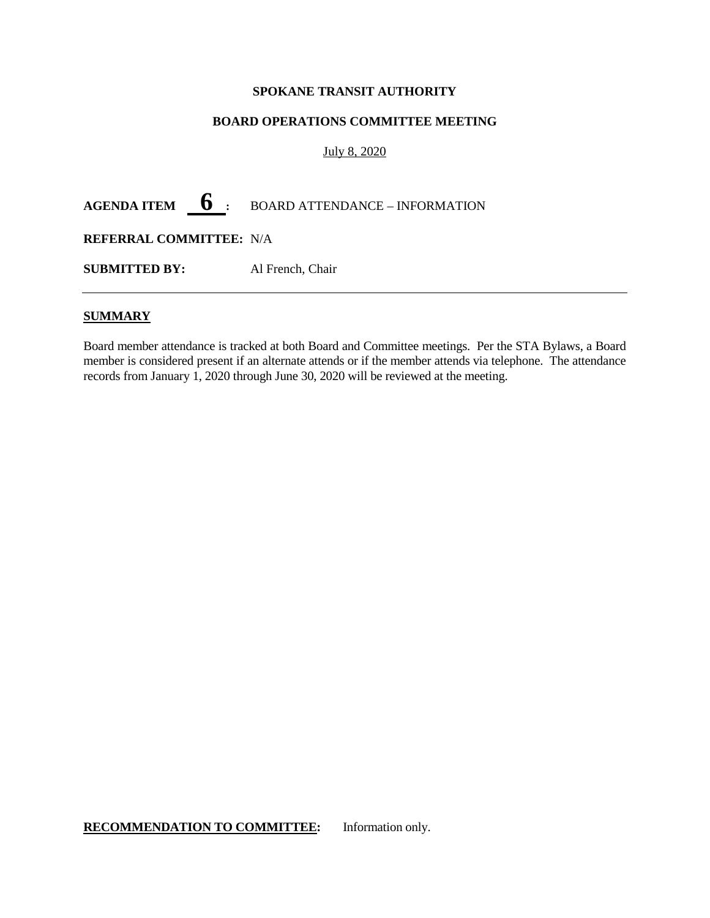#### **BOARD OPERATIONS COMMITTEE MEETING**

#### July 8, 2020

AGENDA ITEM  $\bullet$  : BOARD ATTENDANCE – INFORMATION

**REFERRAL COMMITTEE:** N/A

**SUBMITTED BY:** Al French, Chair

#### **SUMMARY**

Board member attendance is tracked at both Board and Committee meetings. Per the STA Bylaws, a Board member is considered present if an alternate attends or if the member attends via telephone. The attendance records from January 1, 2020 through June 30, 2020 will be reviewed at the meeting.

#### **RECOMMENDATION TO COMMITTEE:** Information only.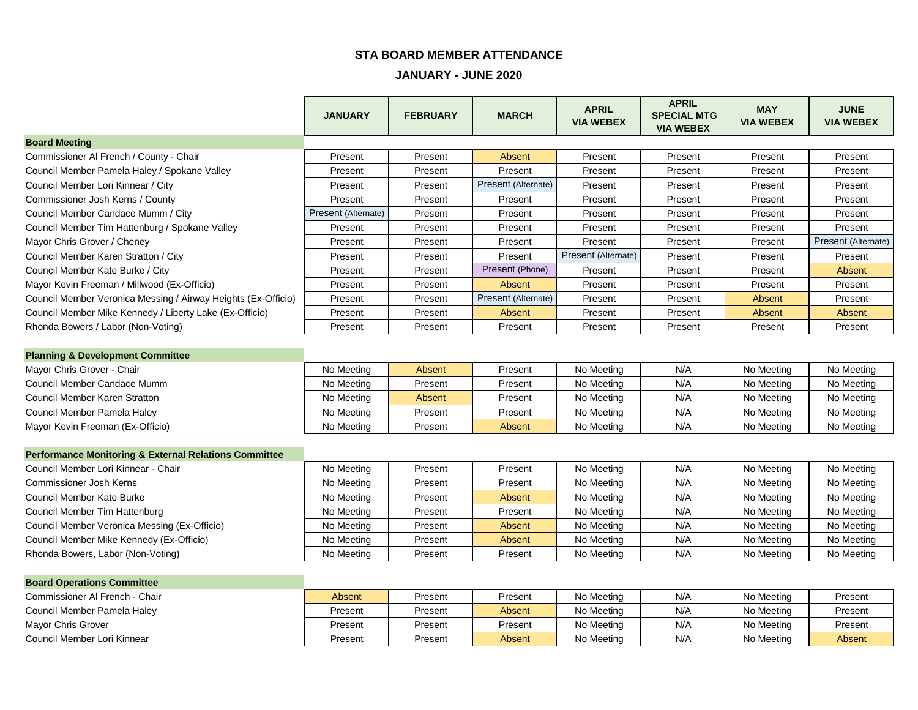#### **STA BOARD MEMBER ATTENDANCE**

#### **JANUARY - JUNE 2020**

|                                                                  | <b>JANUARY</b>      | <b>FEBRUARY</b> | <b>MARCH</b>        | <b>APRIL</b><br><b>VIA WEBEX</b> | <b>APRIL</b><br><b>SPECIAL MTG</b><br><b>VIA WEBEX</b> | <b>MAY</b><br><b>VIA WEBEX</b> | <b>JUNE</b><br><b>VIA WEBEX</b> |
|------------------------------------------------------------------|---------------------|-----------------|---------------------|----------------------------------|--------------------------------------------------------|--------------------------------|---------------------------------|
| <b>Board Meeting</b>                                             |                     |                 |                     |                                  |                                                        |                                |                                 |
| Commissioner Al French / County - Chair                          | Present             | Present         | Absent              | Present                          | Present                                                | Present                        | Present                         |
| Council Member Pamela Haley / Spokane Valley                     | Present             | Present         | Present             | Present                          | Present                                                | Present                        | Present                         |
| Council Member Lori Kinnear / City                               | Present             | Present         | Present (Alternate) | Present                          | Present                                                | Present                        | Present                         |
| Commissioner Josh Kerns / County                                 | Present             | Present         | Present             | Present                          | Present                                                | Present                        | Present                         |
| Council Member Candace Mumm / City                               | Present (Alternate) | Present         | Present             | Present                          | Present                                                | Present                        | Present                         |
| Council Member Tim Hattenburg / Spokane Valley                   | Present             | Present         | Present             | Present                          | Present                                                | Present                        | Present                         |
| Mayor Chris Grover / Cheney                                      | Present             | Present         | Present             | Present                          | Present                                                | Present                        | Present (Alternate)             |
| Council Member Karen Stratton / City                             | Present             | Present         | Present             | Present (Alternate)              | Present                                                | Present                        | Present                         |
| Council Member Kate Burke / City                                 | Present             | Present         | Present (Phone)     | Present                          | Present                                                | Present                        | Absent                          |
| Mayor Kevin Freeman / Millwood (Ex-Officio)                      | Present             | Present         | Absent              | Present                          | Present                                                | Present                        | Present                         |
| Council Member Veronica Messing / Airway Heights (Ex-Officio)    | Present             | Present         | Present (Alternate) | Present                          | Present                                                | <b>Absent</b>                  | Present                         |
| Council Member Mike Kennedy / Liberty Lake (Ex-Officio)          | Present             | Present         | Absent              | Present                          | Present                                                | Absent                         | Absent                          |
| Rhonda Bowers / Labor (Non-Voting)                               | Present             | Present         | Present             | Present                          | Present                                                | Present                        | Present                         |
|                                                                  |                     |                 |                     |                                  |                                                        |                                |                                 |
| <b>Planning &amp; Development Committee</b>                      |                     |                 |                     |                                  |                                                        |                                |                                 |
| Mayor Chris Grover - Chair                                       | No Meeting          | Absent          | Present             | No Meeting                       | N/A                                                    | No Meeting                     | No Meeting                      |
| Council Member Candace Mumm                                      | No Meeting          | Present         | Present             | No Meeting                       | N/A                                                    | No Meeting                     | No Meeting                      |
| <b>Council Member Karen Stratton</b>                             | No Meeting          | Absent          | Present             | No Meeting                       | N/A                                                    | No Meeting                     | No Meeting                      |
| Council Member Pamela Haley                                      | No Meeting          | Present         | Present             | No Meeting                       | N/A                                                    | No Meeting                     | No Meeting                      |
| Mayor Kevin Freeman (Ex-Officio)                                 | No Meeting          | Present         | Absent              | No Meeting                       | N/A                                                    | No Meeting                     | No Meeting                      |
| <b>Performance Monitoring &amp; External Relations Committee</b> |                     |                 |                     |                                  |                                                        |                                |                                 |
| Council Member Lori Kinnear - Chair                              | No Meeting          | Present         | Present             | No Meeting                       | N/A                                                    | No Meeting                     | No Meeting                      |
| <b>Commissioner Josh Kerns</b>                                   | No Meeting          | Present         | Present             | No Meeting                       | N/A                                                    | No Meeting                     | No Meeting                      |
| Council Member Kate Burke                                        | No Meeting          | Present         | Absent              | No Meeting                       | N/A                                                    | No Meeting                     | No Meeting                      |
| Council Member Tim Hattenburg                                    | No Meeting          | Present         | Present             | No Meeting                       | N/A                                                    | No Meeting                     | No Meeting                      |
| Council Member Veronica Messing (Ex-Officio)                     | No Meeting          | Present         | Absent              | No Meeting                       | N/A                                                    | No Meeting                     | No Meeting                      |
| Council Member Mike Kennedy (Ex-Officio)                         | No Meeting          | Present         | Absent              | No Meeting                       | N/A                                                    | No Meeting                     | No Meeting                      |
| Rhonda Bowers, Labor (Non-Voting)                                | No Meeting          | Present         | Present             | No Meeting                       | N/A                                                    | No Meeting                     | No Meeting                      |
|                                                                  |                     |                 |                     |                                  |                                                        |                                |                                 |
| <b>Board Operations Committee</b>                                |                     |                 |                     |                                  |                                                        |                                |                                 |
| Commissioner AI French - Chair                                   | <b>Absent</b>       | Present         | Present             | No Meeting                       | N/A                                                    | No Meeting                     | Present                         |
| Council Member Pamela Haley                                      | Present             | Present         | Absent              | No Meeting                       | N/A                                                    | No Meeting                     | Present                         |
| Mayor Chris Grover                                               | Present             | Present         | Present             | No Meeting                       | N/A                                                    | No Meeting                     | Present                         |
| Council Member Lori Kinnear                                      | Present             | Present         | Absent              | No Meeting                       | N/A                                                    | No Meeting                     | Absent                          |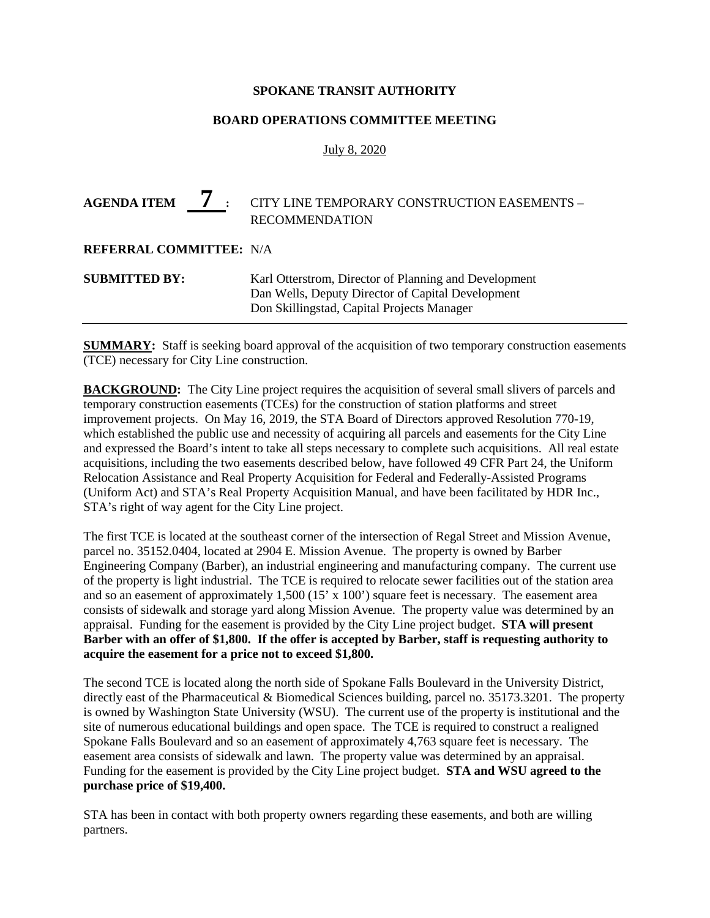#### **BOARD OPERATIONS COMMITTEE MEETING**

July 8, 2020

| <b>AGENDA ITEM</b><br>$\mathcal{L}$ : | CITY LINE TEMPORARY CONSTRUCTION EASEMENTS -<br><b>RECOMMENDATION</b>                                      |
|---------------------------------------|------------------------------------------------------------------------------------------------------------|
| <b>REFERRAL COMMITTEE: N/A</b>        |                                                                                                            |
| <b>SUBMITTED BY:</b>                  | Karl Otterstrom, Director of Planning and Development<br>Dan Wells, Deputy Director of Capital Development |

**SUMMARY:** Staff is seeking board approval of the acquisition of two temporary construction easements (TCE) necessary for City Line construction.

Don Skillingstad, Capital Projects Manager

**BACKGROUND:** The City Line project requires the acquisition of several small slivers of parcels and temporary construction easements (TCEs) for the construction of station platforms and street improvement projects. On May 16, 2019, the STA Board of Directors approved Resolution 770-19, which established the public use and necessity of acquiring all parcels and easements for the City Line and expressed the Board's intent to take all steps necessary to complete such acquisitions. All real estate acquisitions, including the two easements described below, have followed 49 CFR Part 24, the Uniform Relocation Assistance and Real Property Acquisition for Federal and Federally-Assisted Programs (Uniform Act) and STA's Real Property Acquisition Manual, and have been facilitated by HDR Inc., STA's right of way agent for the City Line project.

The first TCE is located at the southeast corner of the intersection of Regal Street and Mission Avenue, parcel no. 35152.0404, located at 2904 E. Mission Avenue. The property is owned by Barber Engineering Company (Barber), an industrial engineering and manufacturing company. The current use of the property is light industrial. The TCE is required to relocate sewer facilities out of the station area and so an easement of approximately 1,500 (15' x 100') square feet is necessary. The easement area consists of sidewalk and storage yard along Mission Avenue. The property value was determined by an appraisal. Funding for the easement is provided by the City Line project budget. **STA will present Barber with an offer of \$1,800. If the offer is accepted by Barber, staff is requesting authority to acquire the easement for a price not to exceed \$1,800.**

The second TCE is located along the north side of Spokane Falls Boulevard in the University District, directly east of the Pharmaceutical & Biomedical Sciences building, parcel no. 35173.3201. The property is owned by Washington State University (WSU). The current use of the property is institutional and the site of numerous educational buildings and open space. The TCE is required to construct a realigned Spokane Falls Boulevard and so an easement of approximately 4,763 square feet is necessary. The easement area consists of sidewalk and lawn. The property value was determined by an appraisal. Funding for the easement is provided by the City Line project budget. **STA and WSU agreed to the purchase price of \$19,400.**

STA has been in contact with both property owners regarding these easements, and both are willing partners.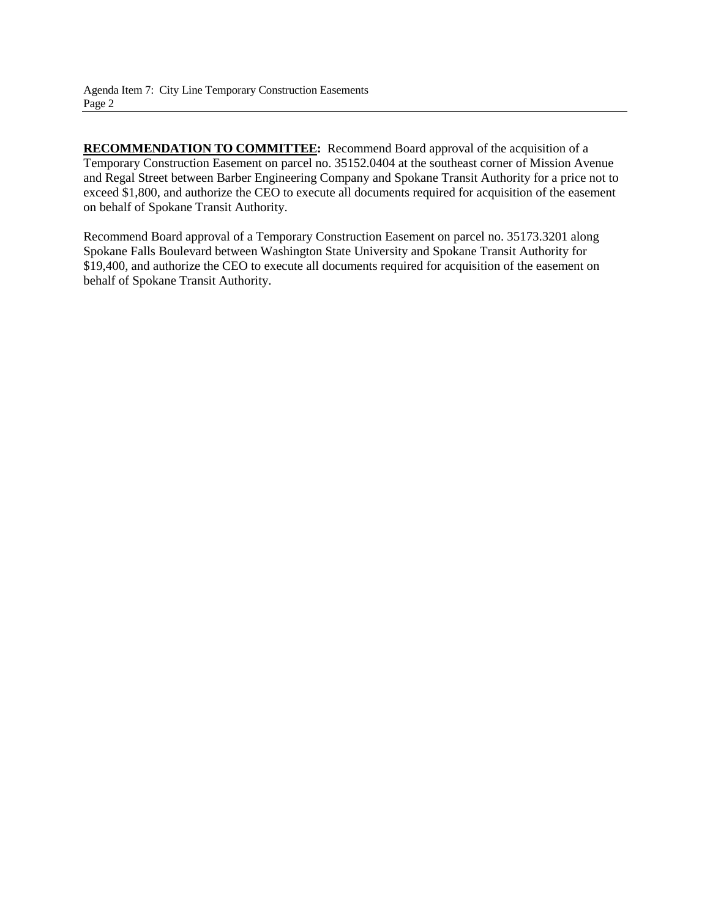**RECOMMENDATION TO COMMITTEE:** Recommend Board approval of the acquisition of a Temporary Construction Easement on parcel no. 35152.0404 at the southeast corner of Mission Avenue and Regal Street between Barber Engineering Company and Spokane Transit Authority for a price not to exceed \$1,800, and authorize the CEO to execute all documents required for acquisition of the easement on behalf of Spokane Transit Authority.

Recommend Board approval of a Temporary Construction Easement on parcel no. 35173.3201 along Spokane Falls Boulevard between Washington State University and Spokane Transit Authority for \$19,400, and authorize the CEO to execute all documents required for acquisition of the easement on behalf of Spokane Transit Authority.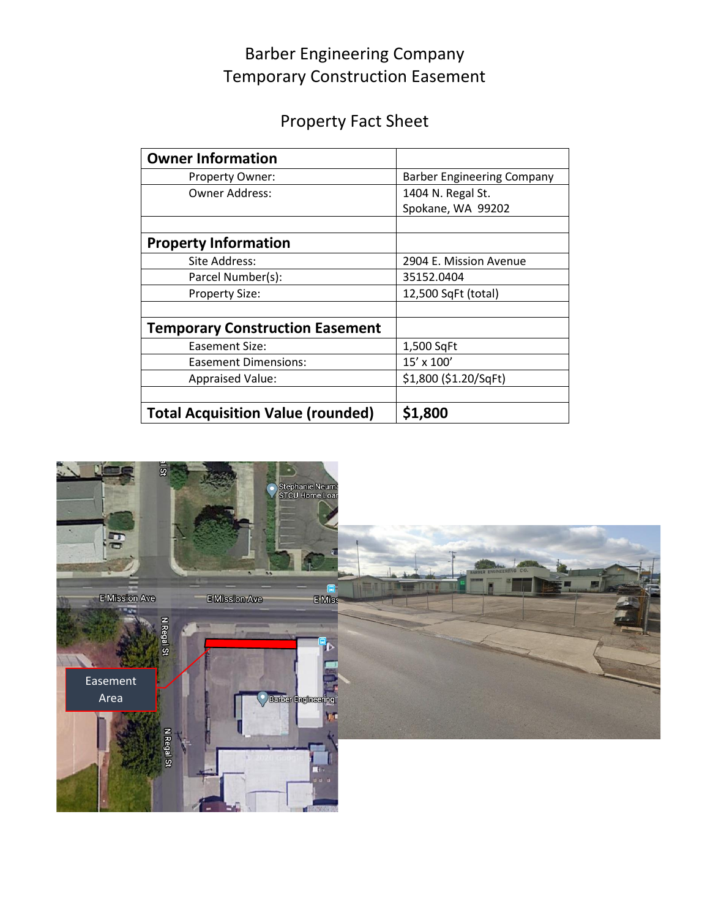# Barber Engineering Company Temporary Construction Easement

# Property Fact Sheet

| <b>Owner Information</b>                 |                                   |  |
|------------------------------------------|-----------------------------------|--|
| Property Owner:                          | <b>Barber Engineering Company</b> |  |
| Owner Address:                           | 1404 N. Regal St.                 |  |
|                                          | Spokane, WA 99202                 |  |
|                                          |                                   |  |
| <b>Property Information</b>              |                                   |  |
| Site Address:                            | 2904 E. Mission Avenue            |  |
| Parcel Number(s):                        | 35152.0404                        |  |
| <b>Property Size:</b>                    | 12,500 SqFt (total)               |  |
| <b>Temporary Construction Easement</b>   |                                   |  |
| Easement Size:                           | 1,500 SqFt                        |  |
| <b>Easement Dimensions:</b>              | 15' x 100'                        |  |
| <b>Appraised Value:</b>                  | \$1,800 (\$1.20/SqFt)             |  |
| <b>Total Acquisition Value (rounded)</b> | \$1,800                           |  |

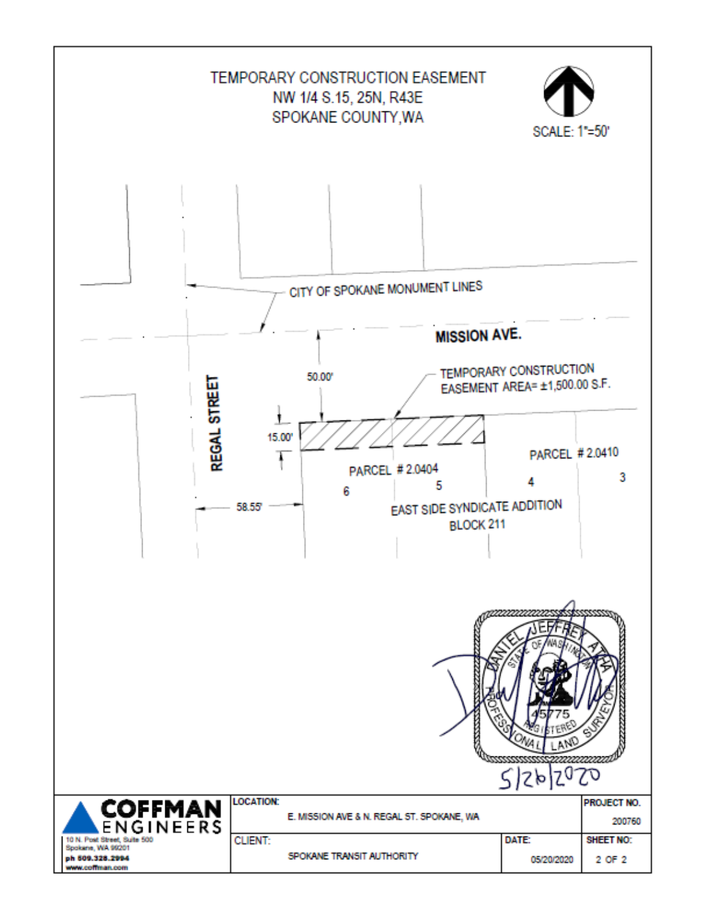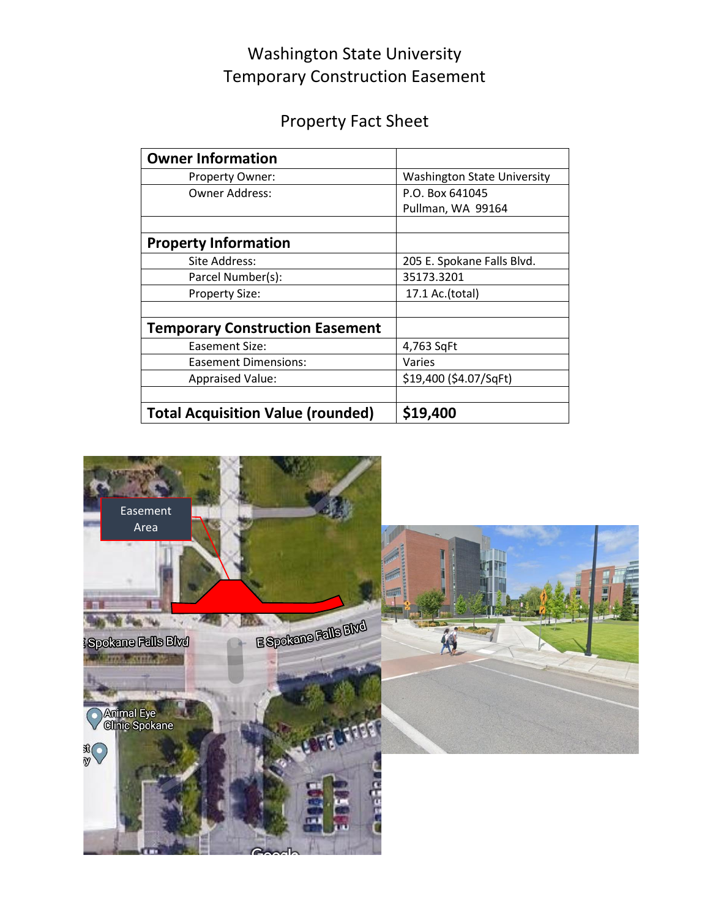# Washington State University Temporary Construction Easement

# Property Fact Sheet

| <b>Owner Information</b>                 |                                    |  |
|------------------------------------------|------------------------------------|--|
| Property Owner:                          | <b>Washington State University</b> |  |
| <b>Owner Address:</b>                    | P.O. Box 641045                    |  |
|                                          | Pullman, WA 99164                  |  |
|                                          |                                    |  |
| <b>Property Information</b>              |                                    |  |
| Site Address:                            | 205 E. Spokane Falls Blvd.         |  |
| Parcel Number(s):                        | 35173.3201                         |  |
| <b>Property Size:</b>                    | 17.1 Ac.(total)                    |  |
|                                          |                                    |  |
| <b>Temporary Construction Easement</b>   |                                    |  |
| Easement Size:                           | 4,763 SqFt                         |  |
| <b>Easement Dimensions:</b>              | Varies                             |  |
| <b>Appraised Value:</b>                  | \$19,400 (\$4.07/SqFt)             |  |
|                                          |                                    |  |
| <b>Total Acquisition Value (rounded)</b> | \$19,400                           |  |



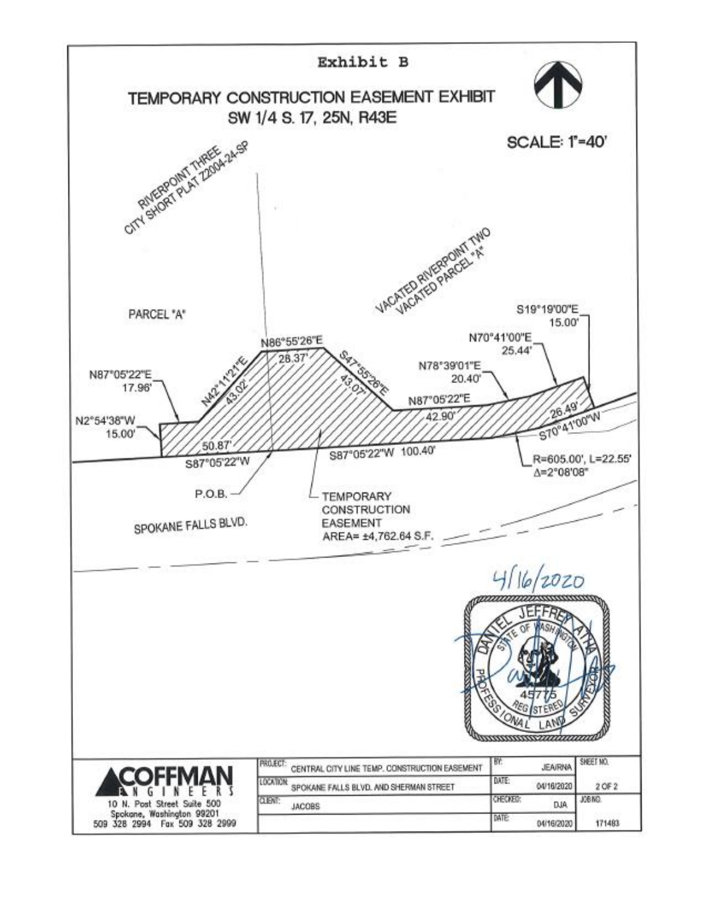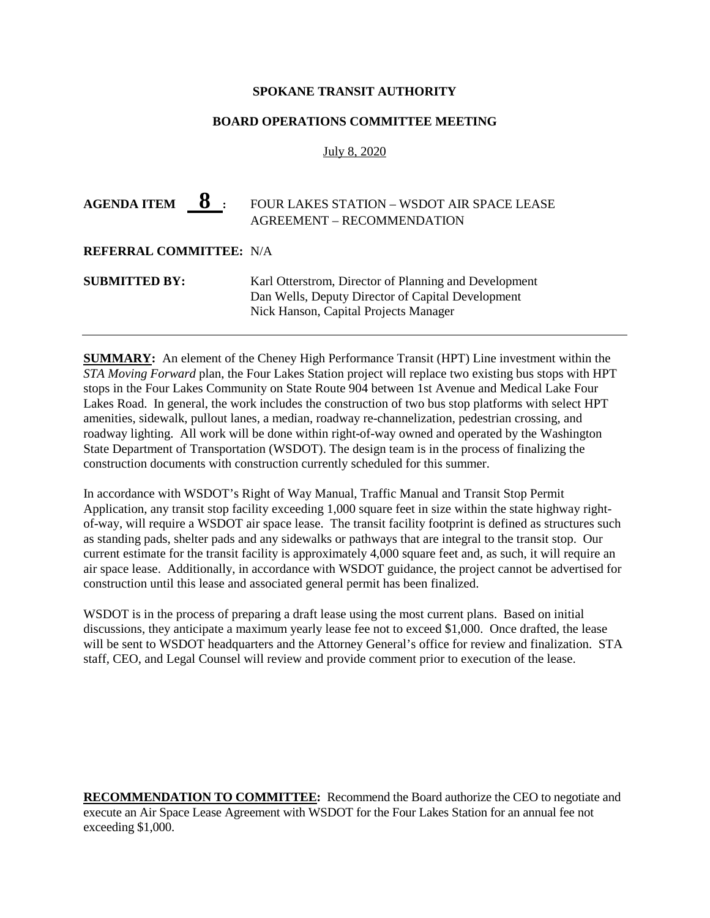#### **BOARD OPERATIONS COMMITTEE MEETING**

#### July 8, 2020

# AGENDA ITEM **8 :** FOUR LAKES STATION – WSDOT AIR SPACE LEASE AGREEMENT – RECOMMENDATION

#### **REFERRAL COMMITTEE:** N/A

| <b>SUBMITTED BY:</b> | Karl Otterstrom, Director of Planning and Development |
|----------------------|-------------------------------------------------------|
|                      | Dan Wells, Deputy Director of Capital Development     |
|                      | Nick Hanson, Capital Projects Manager                 |

**SUMMARY:** An element of the Cheney High Performance Transit (HPT) Line investment within the *STA Moving Forward* plan, the Four Lakes Station project will replace two existing bus stops with HPT stops in the Four Lakes Community on State Route 904 between 1st Avenue and Medical Lake Four Lakes Road. In general, the work includes the construction of two bus stop platforms with select HPT amenities, sidewalk, pullout lanes, a median, roadway re-channelization, pedestrian crossing, and roadway lighting. All work will be done within right-of-way owned and operated by the Washington State Department of Transportation (WSDOT). The design team is in the process of finalizing the construction documents with construction currently scheduled for this summer.

In accordance with WSDOT's Right of Way Manual, Traffic Manual and Transit Stop Permit Application, any transit stop facility exceeding 1,000 square feet in size within the state highway rightof-way, will require a WSDOT air space lease. The transit facility footprint is defined as structures such as standing pads, shelter pads and any sidewalks or pathways that are integral to the transit stop. Our current estimate for the transit facility is approximately 4,000 square feet and, as such, it will require an air space lease. Additionally, in accordance with WSDOT guidance, the project cannot be advertised for construction until this lease and associated general permit has been finalized.

WSDOT is in the process of preparing a draft lease using the most current plans. Based on initial discussions, they anticipate a maximum yearly lease fee not to exceed \$1,000. Once drafted, the lease will be sent to WSDOT headquarters and the Attorney General's office for review and finalization. STA staff, CEO, and Legal Counsel will review and provide comment prior to execution of the lease.

**RECOMMENDATION TO COMMITTEE:** Recommend the Board authorize the CEO to negotiate and execute an Air Space Lease Agreement with WSDOT for the Four Lakes Station for an annual fee not exceeding \$1,000.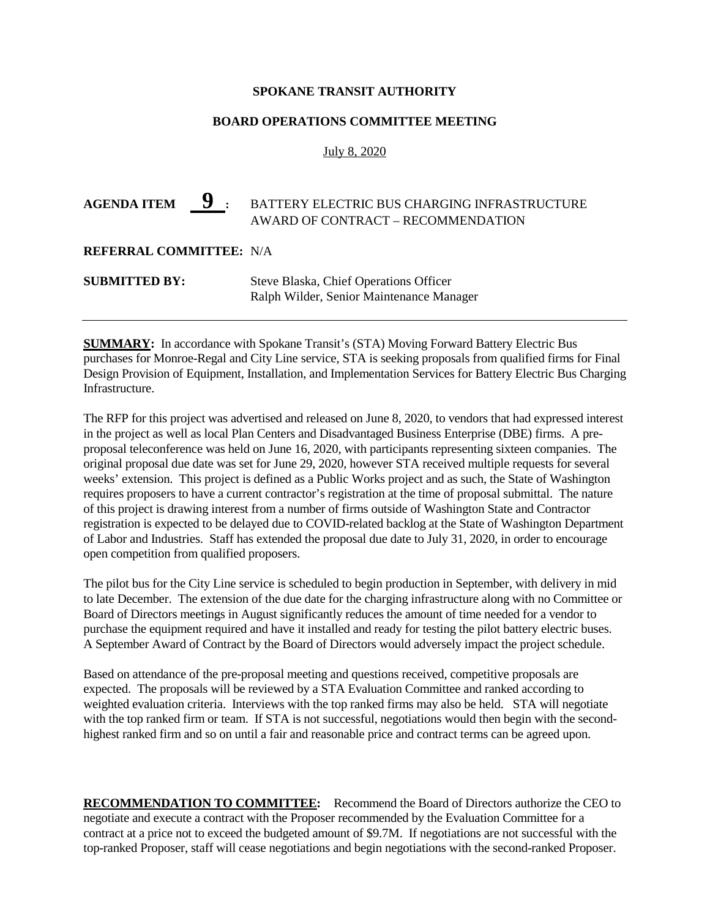#### **BOARD OPERATIONS COMMITTEE MEETING**

#### July 8, 2020

# AGENDA ITEM  $9:$  BATTERY ELECTRIC BUS CHARGING INFRASTRUCTURE AWARD OF CONTRACT – RECOMMENDATION

#### **REFERRAL COMMITTEE:** N/A

| <b>SUBMITTED BY:</b> | Steve Blaska, Chief Operations Officer   |  |  |
|----------------------|------------------------------------------|--|--|
|                      | Ralph Wilder, Senior Maintenance Manager |  |  |

**SUMMARY:** In accordance with Spokane Transit's (STA) Moving Forward Battery Electric Bus purchases for Monroe-Regal and City Line service, STA is seeking proposals from qualified firms for Final Design Provision of Equipment, Installation, and Implementation Services for Battery Electric Bus Charging Infrastructure.

The RFP for this project was advertised and released on June 8, 2020, to vendors that had expressed interest in the project as well as local Plan Centers and Disadvantaged Business Enterprise (DBE) firms. A preproposal teleconference was held on June 16, 2020, with participants representing sixteen companies. The original proposal due date was set for June 29, 2020, however STA received multiple requests for several weeks' extension. This project is defined as a Public Works project and as such, the State of Washington requires proposers to have a current contractor's registration at the time of proposal submittal. The nature of this project is drawing interest from a number of firms outside of Washington State and Contractor registration is expected to be delayed due to COVID-related backlog at the State of Washington Department of Labor and Industries. Staff has extended the proposal due date to July 31, 2020, in order to encourage open competition from qualified proposers.

The pilot bus for the City Line service is scheduled to begin production in September, with delivery in mid to late December. The extension of the due date for the charging infrastructure along with no Committee or Board of Directors meetings in August significantly reduces the amount of time needed for a vendor to purchase the equipment required and have it installed and ready for testing the pilot battery electric buses. A September Award of Contract by the Board of Directors would adversely impact the project schedule.

Based on attendance of the pre-proposal meeting and questions received, competitive proposals are expected. The proposals will be reviewed by a STA Evaluation Committee and ranked according to weighted evaluation criteria. Interviews with the top ranked firms may also be held. STA will negotiate with the top ranked firm or team. If STA is not successful, negotiations would then begin with the secondhighest ranked firm and so on until a fair and reasonable price and contract terms can be agreed upon.

**RECOMMENDATION TO COMMITTEE:** Recommend the Board of Directors authorize the CEO to negotiate and execute a contract with the Proposer recommended by the Evaluation Committee for a contract at a price not to exceed the budgeted amount of \$9.7M. If negotiations are not successful with the top-ranked Proposer, staff will cease negotiations and begin negotiations with the second-ranked Proposer.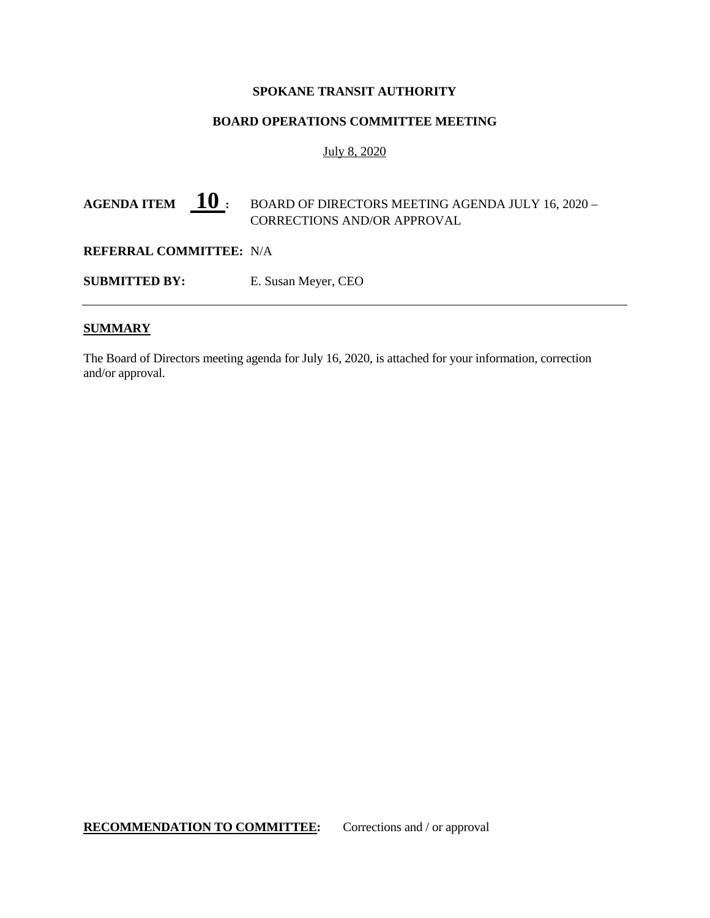#### **BOARD OPERATIONS COMMITTEE MEETING**

#### July 8, 2020

# AGENDA ITEM  $10$  **:** BOARD OF DIRECTORS MEETING AGENDA JULY 16, 2020 – CORRECTIONS AND/OR APPROVAL

#### **REFERRAL COMMITTEE:** N/A

**SUBMITTED BY:** E. Susan Meyer, CEO

#### **SUMMARY**

The Board of Directors meeting agenda for July 16, 2020, is attached for your information, correction and/or approval.

#### **RECOMMENDATION TO COMMITTEE:** Corrections and / or approval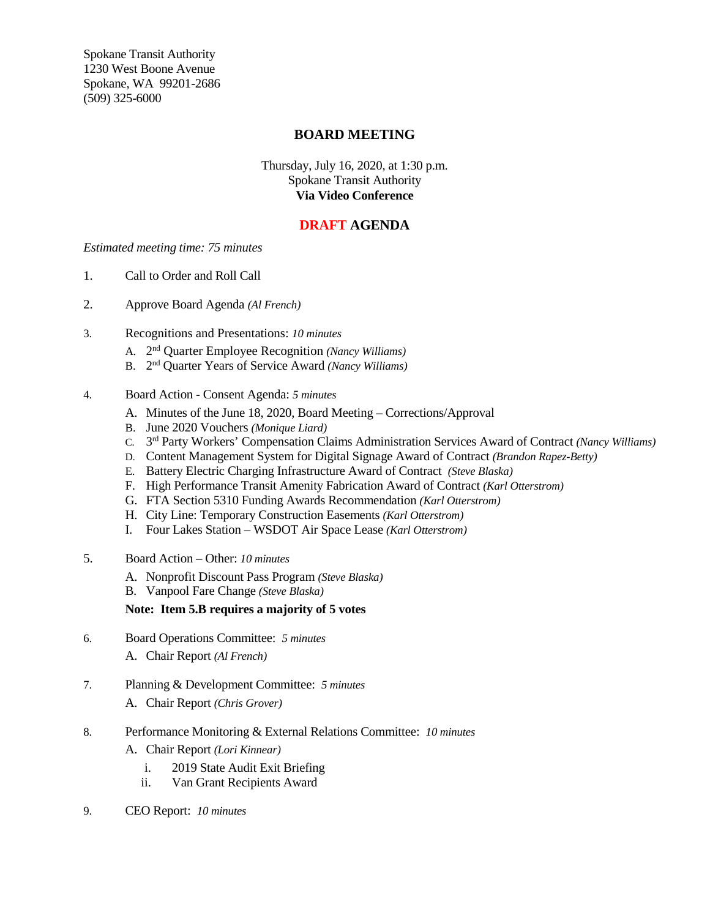Spokane Transit Authority 1230 West Boone Avenue Spokane, WA 99201-2686 (509) 325-6000

#### **BOARD MEETING**

#### Thursday, July 16, 2020, at 1:30 p.m. Spokane Transit Authority **Via Video Conference**

## **DRAFT AGENDA**

#### *Estimated meeting time: 75 minutes*

- 1. Call to Order and Roll Call
- 2. Approve Board Agenda *(Al French)*
- 3. Recognitions and Presentations: *10 minutes*
	- A. 2nd Quarter Employee Recognition *(Nancy Williams)*
	- B. 2nd Quarter Years of Service Award *(Nancy Williams)*
- 4. Board Action Consent Agenda: *5 minutes*
	- A. Minutes of the June 18, 2020, Board Meeting Corrections/Approval
	- B. June 2020 Vouchers *(Monique Liard)*
	- C. 3rd Party Workers' Compensation Claims Administration Services Award of Contract *(Nancy Williams)*
	- D. Content Management System for Digital Signage Award of Contract *(Brandon Rapez-Betty)*
	- E. Battery Electric Charging Infrastructure Award of Contract *(Steve Blaska)*
	- F. High Performance Transit Amenity Fabrication Award of Contract *(Karl Otterstrom)*
	- G. FTA Section 5310 Funding Awards Recommendation *(Karl Otterstrom)*
	- H. City Line: Temporary Construction Easements *(Karl Otterstrom)*
	- I. Four Lakes Station WSDOT Air Space Lease *(Karl Otterstrom)*
- 5. Board Action Other: *10 minutes*
	- A. Nonprofit Discount Pass Program *(Steve Blaska)*
	- B. Vanpool Fare Change *(Steve Blaska)*

#### **Note: Item 5.B requires a majority of 5 votes**

- 6. Board Operations Committee: *5 minutes*
	- A. Chair Report *(Al French)*
- 7. Planning & Development Committee: *5 minutes*
	- A. Chair Report *(Chris Grover)*
- 8. Performance Monitoring & External Relations Committee: *10 minutes*
	- A. Chair Report *(Lori Kinnear)*
		- i. 2019 State Audit Exit Briefing
		- ii. Van Grant Recipients Award
- 9. CEO Report: *10 minutes*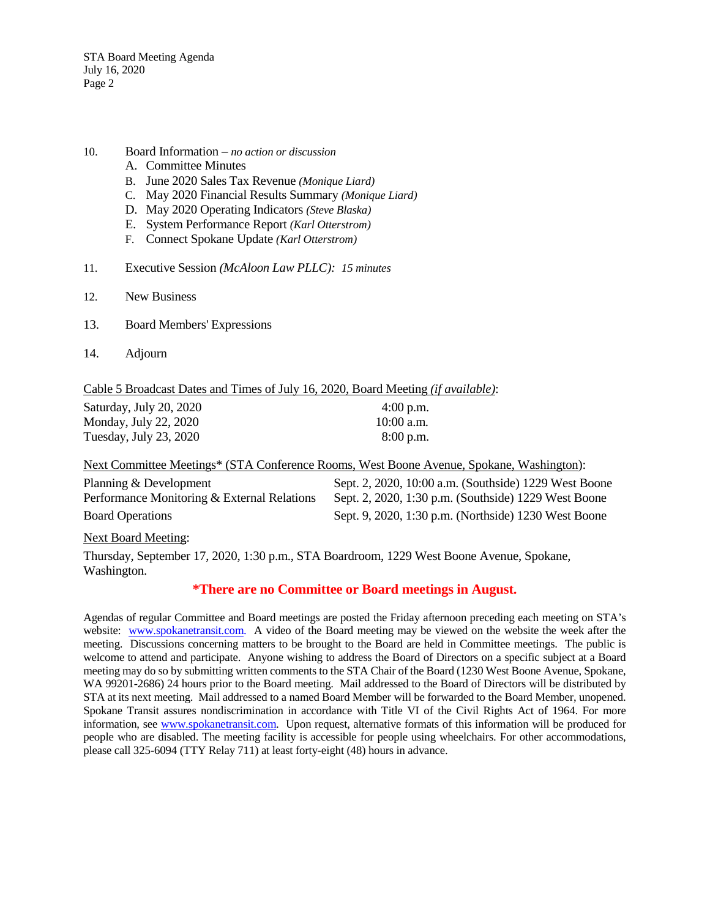STA Board Meeting Agenda July 16, 2020 Page 2

#### 10. Board Information *– no action or discussion*

- A. Committee Minutes
- B. June 2020 Sales Tax Revenue *(Monique Liard)*
- C. May 2020 Financial Results Summary *(Monique Liard)*
- D. May 2020 Operating Indicators *(Steve Blaska)*
- E. System Performance Report *(Karl Otterstrom)*
- F. Connect Spokane Update *(Karl Otterstrom)*
- 11. Executive Session *(McAloon Law PLLC): 15 minutes*
- 12. New Business
- 13. Board Members' Expressions
- 14. Adjourn

|--|

| Saturday, July 20, 2020 | $4:00$ p.m.  |
|-------------------------|--------------|
| Monday, July 22, 2020   | $10:00$ a.m. |
| Tuesday, July 23, 2020  | $8:00$ p.m.  |

Next Committee Meetings\* (STA Conference Rooms, West Boone Avenue, Spokane, Washington):

| Planning & Development                      | Sept. 2, 2020, 10:00 a.m. (Southside) 1229 West Boone |
|---------------------------------------------|-------------------------------------------------------|
| Performance Monitoring & External Relations | Sept. 2, 2020, 1:30 p.m. (Southside) 1229 West Boone  |
| <b>Board Operations</b>                     | Sept. 9, 2020, 1:30 p.m. (Northside) 1230 West Boone  |

Next Board Meeting:

Thursday, September 17, 2020, 1:30 p.m., STA Boardroom, 1229 West Boone Avenue, Spokane, Washington.

### **\*There are no Committee or Board meetings in August.**

Agendas of regular Committee and Board meetings are posted the Friday afternoon preceding each meeting on STA's website: [www.spokanetransit.com.](http://www.spokanetransit.com/) A video of the Board meeting may be viewed on the website the week after the meeting. Discussions concerning matters to be brought to the Board are held in Committee meetings. The public is welcome to attend and participate. Anyone wishing to address the Board of Directors on a specific subject at a Board meeting may do so by submitting written comments to the STA Chair of the Board (1230 West Boone Avenue, Spokane, WA 99201-2686) 24 hours prior to the Board meeting. Mail addressed to the Board of Directors will be distributed by STA at its next meeting. Mail addressed to a named Board Member will be forwarded to the Board Member, unopened. Spokane Transit assures nondiscrimination in accordance with Title VI of the Civil Rights Act of 1964. For more information, see [www.spokanetransit.com.](http://www.spokanetransit.com/) Upon request, alternative formats of this information will be produced for people who are disabled. The meeting facility is accessible for people using wheelchairs. For other accommodations, please call 325-6094 (TTY Relay 711) at least forty-eight (48) hours in advance.